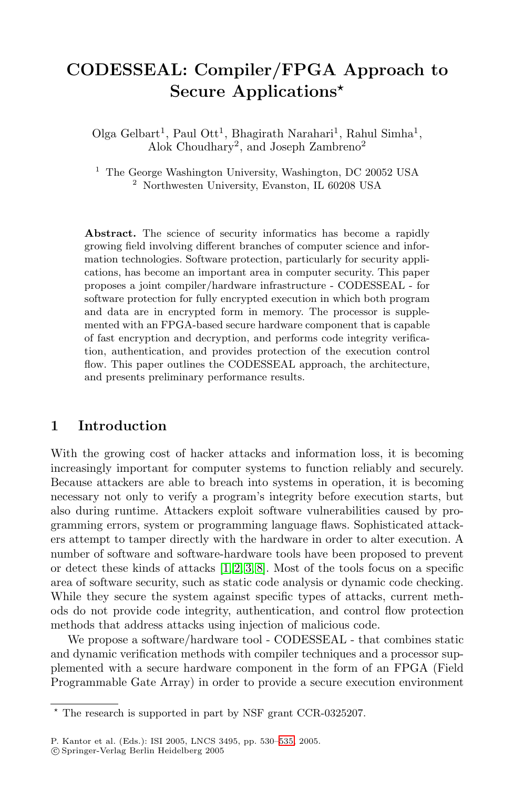# **CODESSEAL: Compiler/FPGA Approach to Secure Applications**

Olga Gelbart<sup>1</sup>, Paul Ott<sup>1</sup>, Bhagirath Narahari<sup>1</sup>, Rahul Simha<sup>1</sup>, Alok Choudhary<sup>2</sup>, and Joseph Zambreno<sup>2</sup>

 $1$  The George Washington University, Washington, DC 20052 USA <sup>2</sup> Northwesten University, Evanston, IL 60208 USA

Abstract. The science of security informatics has become a rapidly growing field involving different branches of computer science and information technologies. Software protection, particularly for security applications, has become an important area in computer security. This paper proposes a joint compiler/hardware infrastructure - CODESSEAL - for software protection for fully encrypted execution in which both program and data are in encrypted form in memory. The processor is supplemented with an FPGA-based secure hardware component that is capable of fast encryption and decryption, and performs code integrity verification, authentication, and provides protection of the execution control flow. This paper outlines the CODESSEAL approach, the architecture, and presents preliminary performance results.

### **1 Introduction**

With the growing cost of hacker attacks and information loss, it is becoming increasingly important for computer systems to function reliably and securely. Because attackers are able to breach into systems in operation, it is becoming necessary not only to verify a program's integrity before execution starts, but also during runtime. Attackers exploit software vulnerabilities caused by programming errors, system or programming language flaws. Sophisticated attackers attempt to tamper directly with the hardware in order to alter execution. A number of software and software-hardware tools have been proposed to prevent or detect these kinds of attacks  $[1, 2, 3, 8]$ . Most of the tools focus on a specific area of software security, such as static code analysis or dynamic code checking. While they secure the system against specific types of attacks, current methods do not provide code integrity, authentication, and control flow protection methods that address attacks using injection of malicious code.

We propose a software/hardware tool - CODESSEAL - that combines static and dynamic verification methods with compiler techniques and a processor supplemented with a secure hardware component in the form of an FPGA (Field Programmable Gate Array) in order to provide a secure execution environment

<sup>\*</sup> The research is supported in part by NSF grant CCR-0325207.

P. Kantor et al. (Eds.): ISI 2005, LNCS 3495, pp. 530–[535,](#page-5-0) 2005.

c Springer-Verlag Berlin Heidelberg 2005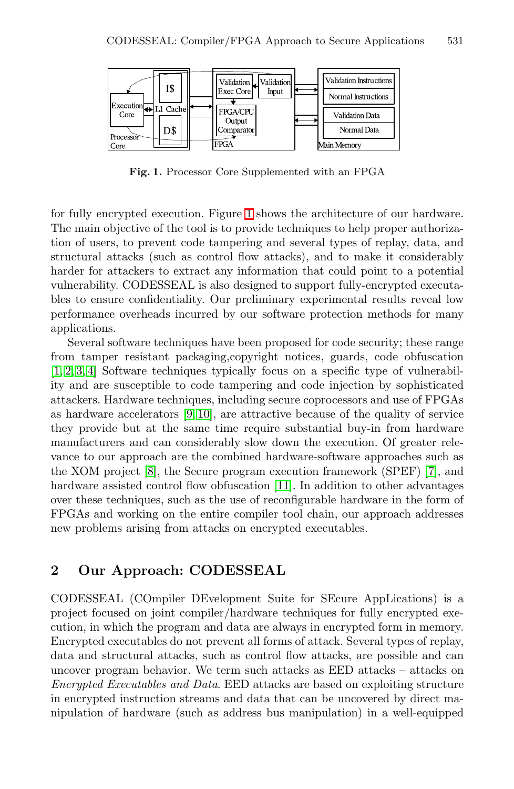<span id="page-1-0"></span>

**Fig. 1.** Processor Core Supplemented with an FPGA

for fully encrypted execution. Figure 1 shows the architecture of our hardware. The main objective of the tool is to provide techniques to help proper authorization of users, to prevent code tampering and several types of replay, data, and structural attacks (such as control flow attacks), and to make it considerably harder for attackers to extract any information that could point to a potential vulnerability. CODESSEAL is also designed to support fully-encrypted executables to ensure confidentiality. Our preliminary experimental results reveal low performance overheads incurred by our software protection methods for many applications.

Several software techniques have been proposed for code security; these range from tamper resistant packaging,copyright notices, guards, code obfuscation [\[1, 2, 3, 4\]](#page-5-0) Software techniques typically focus on a specific type of vulnerability and are susceptible to code tampering and code injection by sophisticated attackers. Hardware techniques, including secure coprocessors and use of FPGAs as hardware accelerators [\[9, 10\]](#page-5-0), are attractive because of the quality of service they provide but at the same time require substantial buy-in from hardware manufacturers and can considerably slow down the execution. Of greater relevance to our approach are the combined hardware-software approaches such as the XOM project [\[8\]](#page-5-0), the Secure program execution framework (SPEF) [\[7\]](#page-5-0), and hardware assisted control flow obfuscation [\[11\]](#page-5-0). In addition to other advantages over these techniques, such as the use of reconfigurable hardware in the form of FPGAs and working on the entire compiler tool chain, our approach addresses new problems arising from attacks on encrypted executables.

#### **2 Our Approach: CODESSEAL**

CODESSEAL (COmpiler DEvelopment Suite for SEcure AppLications) is a project focused on joint compiler/hardware techniques for fully encrypted execution, in which the program and data are always in encrypted form in memory. Encrypted executables do not prevent all forms of attack. Several types of replay, data and structural attacks, such as control flow attacks, are possible and can uncover program behavior. We term such attacks as EED attacks – attacks on *Encrypted Executables and Data*. EED attacks are based on exploiting structure in encrypted instruction streams and data that can be uncovered by direct manipulation of hardware (such as address bus manipulation) in a well-equipped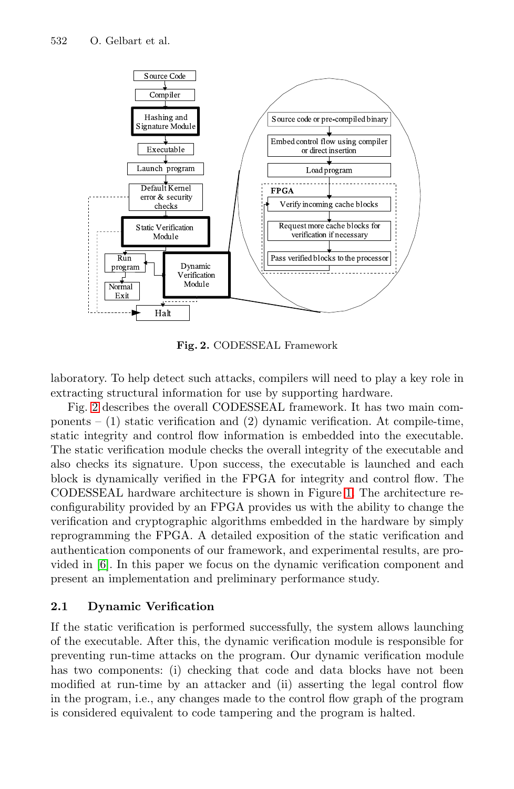<span id="page-2-0"></span>

**Fig. 2.** CODESSEAL Framework

laboratory. To help detect such attacks, compilers will need to play a key role in extracting structural information for use by supporting hardware.

Fig. 2 describes the overall CODESSEAL framework. It has two main components –  $(1)$  static verification and  $(2)$  dynamic verification. At compile-time, static integrity and control flow information is embedded into the executable. The static verification module checks the overall integrity of the executable and also checks its signature. Upon success, the executable is launched and each block is dynamically verified in the FPGA for integrity and control flow. The CODESSEAL hardware architecture is shown in Figure [1.](#page-1-0) The architecture reconfigurability provided by an FPGA provides us with the ability to change the verification and cryptographic algorithms embedded in the hardware by simply reprogramming the FPGA. A detailed exposition of the static verification and authentication components of our framework, and experimental results, are provided in [\[6\]](#page-5-0). In this paper we focus on the dynamic verification component and present an implementation and preliminary performance study.

#### **2.1 Dynamic Verification**

If the static verification is performed successfully, the system allows launching of the executable. After this, the dynamic verification module is responsible for preventing run-time attacks on the program. Our dynamic verification module has two components: (i) checking that code and data blocks have not been modified at run-time by an attacker and (ii) asserting the legal control flow in the program, i.e., any changes made to the control flow graph of the program is considered equivalent to code tampering and the program is halted.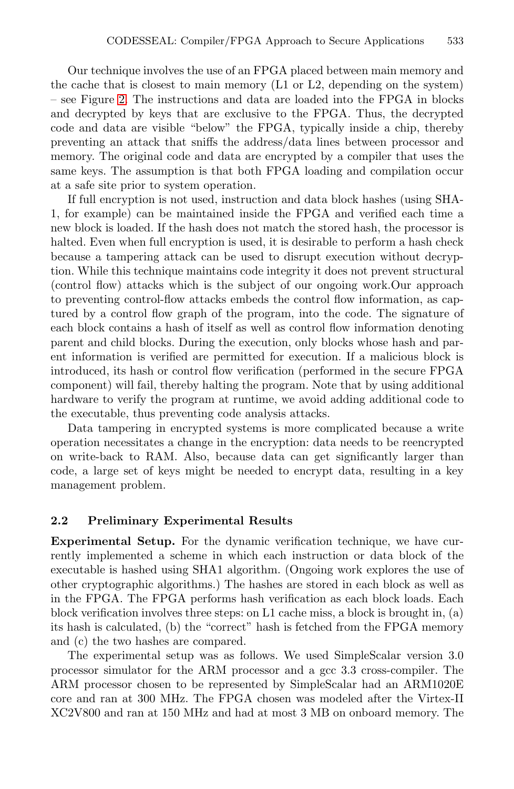Our technique involves the use of an FPGA placed between main memory and the cache that is closest to main memory (L1 or L2, depending on the system) – see Figure [2.](#page-2-0) The instructions and data are loaded into the FPGA in blocks and decrypted by keys that are exclusive to the FPGA. Thus, the decrypted code and data are visible "below" the FPGA, typically inside a chip, thereby preventing an attack that sniffs the address/data lines between processor and memory. The original code and data are encrypted by a compiler that uses the same keys. The assumption is that both FPGA loading and compilation occur at a safe site prior to system operation.

If full encryption is not used, instruction and data block hashes (using SHA-1, for example) can be maintained inside the FPGA and verified each time a new block is loaded. If the hash does not match the stored hash, the processor is halted. Even when full encryption is used, it is desirable to perform a hash check because a tampering attack can be used to disrupt execution without decryption. While this technique maintains code integrity it does not prevent structural (control flow) attacks which is the subject of our ongoing work.Our approach to preventing control-flow attacks embeds the control flow information, as captured by a control flow graph of the program, into the code. The signature of each block contains a hash of itself as well as control flow information denoting parent and child blocks. During the execution, only blocks whose hash and parent information is verified are permitted for execution. If a malicious block is introduced, its hash or control flow verification (performed in the secure FPGA component) will fail, thereby halting the program. Note that by using additional hardware to verify the program at runtime, we avoid adding additional code to the executable, thus preventing code analysis attacks.

Data tampering in encrypted systems is more complicated because a write operation necessitates a change in the encryption: data needs to be reencrypted on write-back to RAM. Also, because data can get significantly larger than code, a large set of keys might be needed to encrypt data, resulting in a key management problem.

#### **2.2 Preliminary Experimental Results**

**Experimental Setup.** For the dynamic verification technique, we have currently implemented a scheme in which each instruction or data block of the executable is hashed using SHA1 algorithm. (Ongoing work explores the use of other cryptographic algorithms.) The hashes are stored in each block as well as in the FPGA. The FPGA performs hash verification as each block loads. Each block verification involves three steps: on L1 cache miss, a block is brought in, (a) its hash is calculated, (b) the "correct" hash is fetched from the FPGA memory and (c) the two hashes are compared.

The experimental setup was as follows. We used SimpleScalar version 3.0 processor simulator for the ARM processor and a gcc 3.3 cross-compiler. The ARM processor chosen to be represented by SimpleScalar had an ARM1020E core and ran at 300 MHz. The FPGA chosen was modeled after the Virtex-II XC2V800 and ran at 150 MHz and had at most 3 MB on onboard memory. The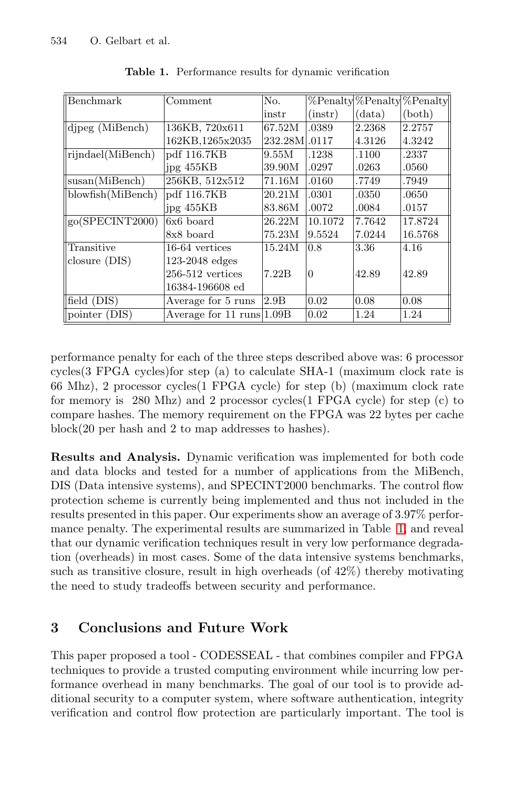| Benchmark         | Comment                                   | No.          |         |        | %Penalty %Penalty %Penalty |
|-------------------|-------------------------------------------|--------------|---------|--------|----------------------------|
|                   |                                           | instr        | (instr) | (data) | (both)                     |
| djpeg (MiBench)   | 136KB, 720x611                            | 67.52M       | .0389   | 2.2368 | 2.2757                     |
|                   | 162KB, 1265x2035                          | 232.28M.0117 |         | 4.3126 | 4.3242                     |
| rijndael(MiBench) | pdf 116.7KB                               | 9.55M        | .1238   | .1100  | .2337                      |
|                   | jpg 455KB                                 | 39.90M       | .0297   | .0263  | .0560                      |
| susan(MiBench)    | 256KB, 512x512                            | 71.16M       | .0160   | .7749  | .7949                      |
| blowfish(MiBench) | pdf 116.7KB                               | 20.21M       | .0301   | .0350  | .0650                      |
|                   | jpg 455KB                                 | 83.86M       | .0072   | .0084  | .0157                      |
| go(SPECINT2000)   | 6x6 board                                 | 26.22M       | 10.1072 | 7.7642 | 17.8724                    |
|                   | 8x8 board                                 | 75.23M       | 9.5524  | 7.0244 | 16.5768                    |
| Transitive        | 16-64 vertices                            | 15.24M       | 0.8     | 3.36   | 4.16                       |
| closure (DIS)     | $123-2048$ edges                          |              |         |        |                            |
|                   | $256-512$ vertices                        | 7.22B        | 0       | 42.89  | 42.89                      |
|                   | 16384-196608 ed                           |              |         |        |                            |
| field $(DIS)$     | Average for 5 runs                        | 2.9B         | 0.02    | 0.08   | 0.08                       |
| pointer (DIS)     | Average for $11 \text{ runs} \vert 1.09B$ |              | 0.02    | 1.24   | 1.24                       |

**Table 1.** Performance results for dynamic verification

performance penalty for each of the three steps described above was: 6 processor cycles(3 FPGA cycles)for step (a) to calculate SHA-1 (maximum clock rate is 66 Mhz), 2 processor cycles(1 FPGA cycle) for step (b) (maximum clock rate for memory is 280 Mhz) and 2 processor cycles(1 FPGA cycle) for step (c) to compare hashes. The memory requirement on the FPGA was 22 bytes per cache block(20 per hash and 2 to map addresses to hashes).

**Results and Analysis.** Dynamic verification was implemented for both code and data blocks and tested for a number of applications from the MiBench, DIS (Data intensive systems), and SPECINT2000 benchmarks. The control flow protection scheme is currently being implemented and thus not included in the results presented in this paper. Our experiments show an average of 3.97% performance penalty. The experimental results are summarized in Table 1, and reveal that our dynamic verification techniques result in very low performance degradation (overheads) in most cases. Some of the data intensive systems benchmarks, such as transitive closure, result in high overheads (of 42%) thereby motivating the need to study tradeoffs between security and performance.

## **3 Conclusions and Future Work**

This paper proposed a tool - CODESSEAL - that combines compiler and FPGA techniques to provide a trusted computing environment while incurring low performance overhead in many benchmarks. The goal of our tool is to provide additional security to a computer system, where software authentication, integrity verification and control flow protection are particularly important. The tool is